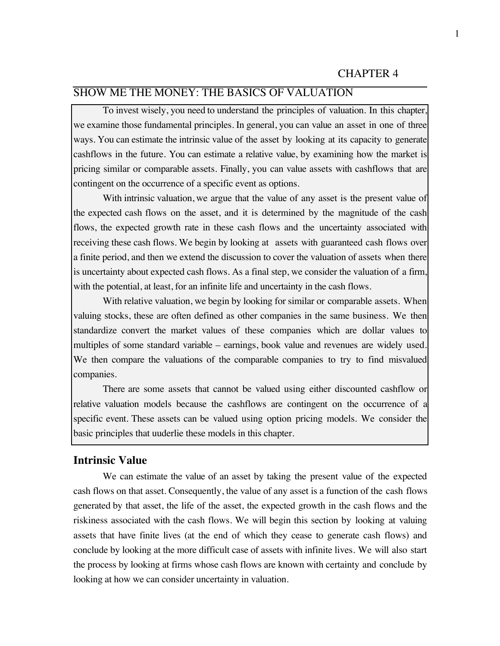# CHAPTER 4

# SHOW ME THE MONEY: THE BASICS OF VALUATION

To invest wisely, you need to understand the principles of valuation. In this chapter, we examine those fundamental principles. In general, you can value an asset in one of three ways. You can estimate the intrinsic value of the asset by looking at its capacity to generate cashflows in the future. You can estimate a relative value, by examining how the market is pricing similar or comparable assets. Finally, you can value assets with cashflows that are contingent on the occurrence of a specific event as options.

With intrinsic valuation, we argue that the value of any asset is the present value of the expected cash flows on the asset, and it is determined by the magnitude of the cash flows, the expected growth rate in these cash flows and the uncertainty associated with receiving these cash flows. We begin by looking at assets with guaranteed cash flows over a finite period, and then we extend the discussion to cover the valuation of assets when there is uncertainty about expected cash flows. As a final step, we consider the valuation of a firm, with the potential, at least, for an infinite life and uncertainty in the cash flows.

With relative valuation, we begin by looking for similar or comparable assets. When valuing stocks, these are often defined as other companies in the same business. We then standardize convert the market values of these companies which are dollar values to multiples of some standard variable – earnings, book value and revenues are widely used. We then compare the valuations of the comparable companies to try to find misvalued companies.

There are some assets that cannot be valued using either discounted cashflow or relative valuation models because the cashflows are contingent on the occurrence of a specific event. These assets can be valued using option pricing models. We consider the basic principles that uuderlie these models in this chapter.

# **Intrinsic Value**

We can estimate the value of an asset by taking the present value of the expected cash flows on that asset. Consequently, the value of any asset is a function of the cash flows generated by that asset, the life of the asset, the expected growth in the cash flows and the riskiness associated with the cash flows. We will begin this section by looking at valuing assets that have finite lives (at the end of which they cease to generate cash flows) and conclude by looking at the more difficult case of assets with infinite lives. We will also start the process by looking at firms whose cash flows are known with certainty and conclude by looking at how we can consider uncertainty in valuation.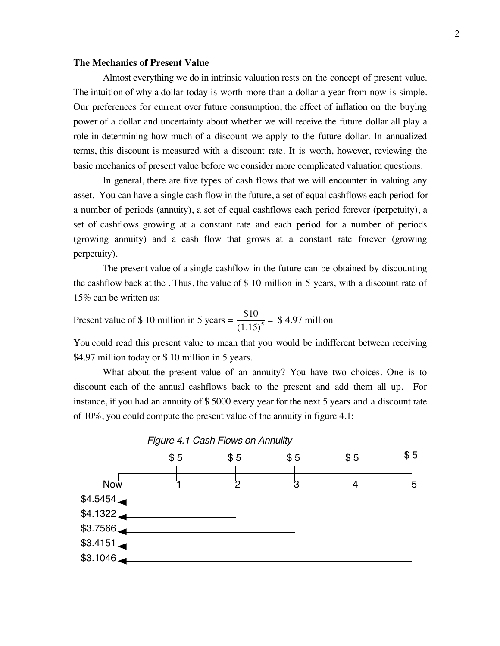#### **The Mechanics of Present Value**

Almost everything we do in intrinsic valuation rests on the concept of present value. The intuition of why a dollar today is worth more than a dollar a year from now is simple. Our preferences for current over future consumption, the effect of inflation on the buying power of a dollar and uncertainty about whether we will receive the future dollar all play a role in determining how much of a discount we apply to the future dollar. In annualized terms, this discount is measured with a discount rate. It is worth, however, reviewing the basic mechanics of present value before we consider more complicated valuation questions.

In general, there are five types of cash flows that we will encounter in valuing any asset. You can have a single cash flow in the future, a set of equal cashflows each period for a number of periods (annuity), a set of equal cashflows each period forever (perpetuity), a set of cashflows growing at a constant rate and each period for a number of periods (growing annuity) and a cash flow that grows at a constant rate forever (growing perpetuity).

The present value of a single cashflow in the future can be obtained by discounting the cashflow back at the . Thus, the value of \$ 10 million in 5 years, with a discount rate of 15% can be written as:

Present value of \$10 million in 5 years =  $\frac{$10}{4.15}$  $\frac{$10}{$(1.15)^5}$  = \$4.97 million

You could read this present value to mean that you would be indifferent between receiving \$4.97 million today or \$10 million in 5 years.

What about the present value of an annuity? You have two choices. One is to discount each of the annual cashflows back to the present and add them all up. For instance, if you had an annuity of \$ 5000 every year for the next 5 years and a discount rate of 10%, you could compute the present value of the annuity in figure 4.1:

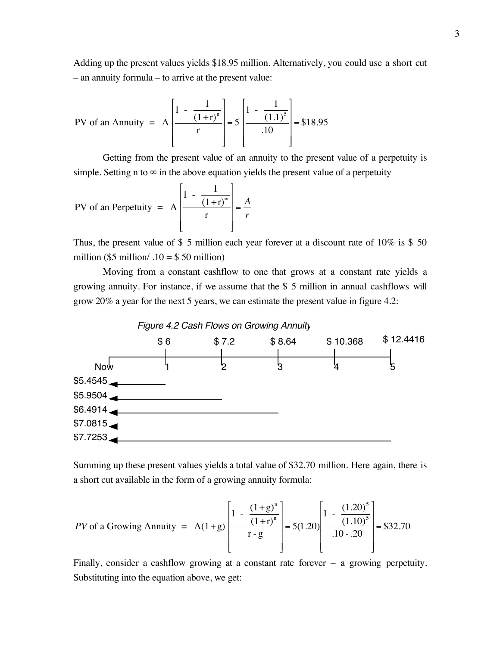Adding up the present values yields \$18.95 million. Alternatively, you could use a short cut – an annuity formula – to arrive at the present value:

PV of an Annuity = 
$$
A \left[ \frac{1 - \frac{1}{(1+r)^n}}{r} \right] = 5 \left[ \frac{1 - \frac{1}{(1.1)^5}}{10} \right] = $18.95
$$

Getting from the present value of an annuity to the present value of a perpetuity is simple. Setting n to  $\infty$  in the above equation yields the present value of a perpetuity

PV of an Perpetuity = 
$$
A \left[ \frac{1 - \frac{1}{(1+r)^{\infty}}}{r} \right] = \frac{A}{r}
$$

Thus, the present value of  $\frac{1}{5}$  5 million each year forever at a discount rate of 10% is  $\frac{1}{5}$  50 million  $\$5$  million/ .10 = \$50 million)

Moving from a constant cashflow to one that grows at a constant rate yields a growing annuity. For instance, if we assume that the \$ 5 million in annual cashflows will grow 20% a year for the next 5 years, we can estimate the present value in figure 4.2:





Summing up these present values yields a total value of \$32.70 million. Here again, there is a short cut available in the form of a growing annuity formula:

*PV* of a Group. Annuity = 
$$
A(1+g)\left[\frac{1 - \frac{(1+g)^n}{(1+r)^n}}{r-g}\right] = 5(1.20)\left[\frac{1 - \frac{(1.20)^5}{(1.10)^5}}{.10 - .20}\right] = $32.70
$$

Finally, consider a cashflow growing at a constant rate forever – a growing perpetuity. Substituting into the equation above, we get: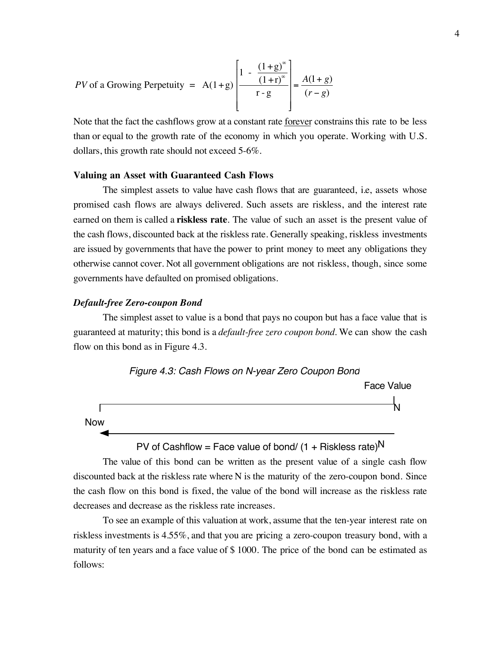*PV* of a Group. Perpetuity = 
$$
A(1+g)\left[\frac{1 - \frac{(1+g)^{\infty}}{(1+r)^{\infty}}}{r-g}\right] = \frac{A(1+g)}{(r-g)}
$$

Note that the fact the cashflows grow at a constant rate forever constrains this rate to be less than or equal to the growth rate of the economy in which you operate. Working with U.S. dollars, this growth rate should not exceed 5-6%.

## **Valuing an Asset with Guaranteed Cash Flows**

The simplest assets to value have cash flows that are guaranteed, i.e, assets whose promised cash flows are always delivered. Such assets are riskless, and the interest rate earned on them is called a **riskless rate**. The value of such an asset is the present value of the cash flows, discounted back at the riskless rate. Generally speaking, riskless investments are issued by governments that have the power to print money to meet any obligations they otherwise cannot cover. Not all government obligations are not riskless, though, since some governments have defaulted on promised obligations.

#### *Default-free Zero-coupon Bond*

The simplest asset to value is a bond that pays no coupon but has a face value that is guaranteed at maturity; this bond is a *default-free zero coupon bond*. We can show the cash flow on this bond as in Figure 4.3.



PV of Cashflow = Face value of bond/  $(1 +$  Riskless rate)<sup>N</sup>

The value of this bond can be written as the present value of a single cash flow discounted back at the riskless rate where N is the maturity of the zero-coupon bond. Since the cash flow on this bond is fixed, the value of the bond will increase as the riskless rate decreases and decrease as the riskless rate increases.

To see an example of this valuation at work, assume that the ten-year interest rate on riskless investments is 4.55%, and that you are pricing a zero-coupon treasury bond, with a maturity of ten years and a face value of \$ 1000. The price of the bond can be estimated as follows: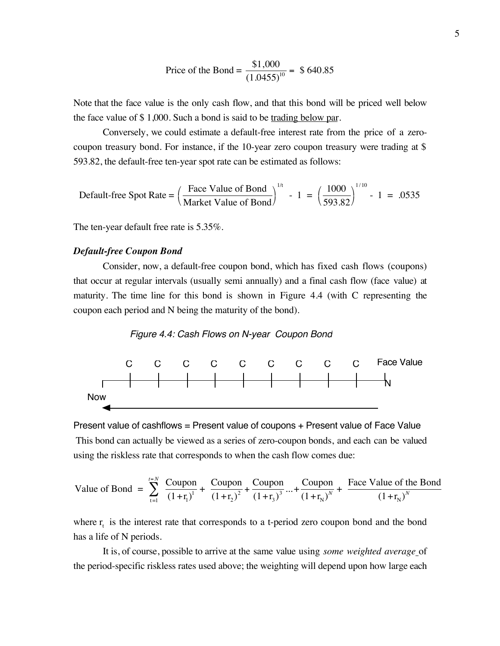Price of the Bond = 
$$
\frac{$1,000}{(1.0455)^{10}}
$$
 = \$ 640.85

Note that the face value is the only cash flow, and that this bond will be priced well below the face value of \$ 1,000. Such a bond is said to be trading below par.

Conversely, we could estimate a default-free interest rate from the price of a zerocoupon treasury bond. For instance, if the 10-year zero coupon treasury were trading at \$ 593.82, the default-free ten-year spot rate can be estimated as follows:

Default-free Spot Rate = 
$$
\left(\frac{\text{Face Value of Bond}}{\text{Market Value of Bond}}\right)^{1/t} - 1 = \left(\frac{1000}{593.82}\right)^{1/10} - 1 = .0535
$$

The ten-year default free rate is 5.35%.

## *Default-free Coupon Bond*

Consider, now, a default-free coupon bond, which has fixed cash flows (coupons) that occur at regular intervals (usually semi annually) and a final cash flow (face value) at maturity. The time line for this bond is shown in Figure 4.4 (with C representing the coupon each period and N being the maturity of the bond).

*Figure 4.4: Cash Flows on N-year Coupon Bond*



Present value of cashflows = Present value of coupons + Present value of Face Value This bond can actually be viewed as a series of zero-coupon bonds, and each can be valued using the riskless rate that corresponds to when the cash flow comes due:

Value of Bond = 
$$
\sum_{t=1}^{t=N} \frac{\text{Coupon}}{(1+r_1)^{1}} + \frac{\text{Coupon}}{(1+r_2)^{2}} + \frac{\text{Coupon}}{(1+r_3)^{3}} + \frac{\text{Eace Value of the Bond}}{(1+r_N)^{N}}
$$

where  $r_t$  is the interest rate that corresponds to a t-period zero coupon bond and the bond has a life of N periods.

It is, of course, possible to arrive at the same value using *some weighted average* of the period-specific riskless rates used above; the weighting will depend upon how large each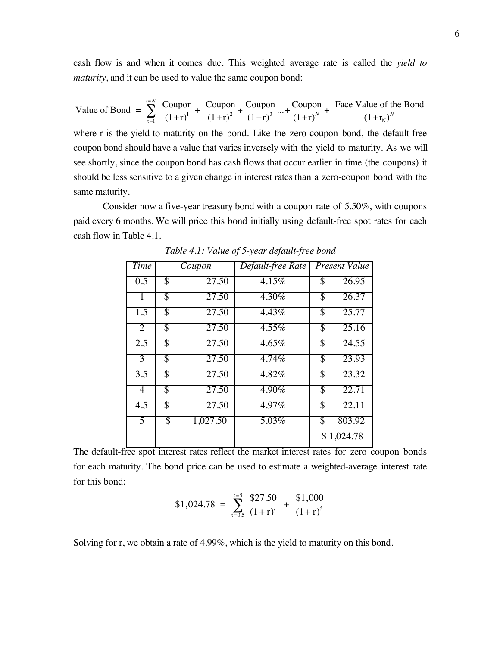cash flow is and when it comes due. This weighted average rate is called the *yield to maturity*, and it can be used to value the same coupon bond:

Value of Bond = 
$$
\sum_{t=1}^{t=N} \frac{\text{Coupon}}{(1+r)^{1}} + \frac{\text{Coupon}}{(1+r)^{2}} + \frac{\text{Coupon}}{(1+r)^{3}} \dots + \frac{\text{Coupon}}{(1+r)^{N}} + \frac{\text{Face Value of the Bond}}{(1+r_{N})^{N}}
$$

where r is the yield to maturity on the bond. Like the zero-coupon bond, the default-free coupon bond should have a value that varies inversely with the yield to maturity. As we will see shortly, since the coupon bond has cash flows that occur earlier in time (the coupons) it should be less sensitive to a given change in interest rates than a zero-coupon bond with the same maturity.

Consider now a five-year treasury bond with a coupon rate of 5.50%, with coupons paid every 6 months. We will price this bond initially using default-free spot rates for each cash flow in Table 4.1.

| <b>Time</b>      | Coupon         | Default-free Rate   | <b>Present Value</b> |
|------------------|----------------|---------------------|----------------------|
| 0.5              | \$<br>27.50    | 4.15%               | \$<br>26.95          |
| 1                | \$<br>27.50    | 4.30%               | \$<br>26.37          |
| $\overline{1.5}$ | \$<br>27.50    | 4.43%               | \$<br>25.77          |
| $\overline{2}$   | \$<br>27.50    | 4.55%               | \$<br>25.16          |
| 2.5              | \$<br>27.50    | $\overline{4.65\%}$ | \$<br>24.55          |
| 3                | \$<br>27.50    | 4.74%               | \$<br>23.93          |
| $\overline{3.5}$ | \$<br>27.50    | 4.82%               | \$<br>23.32          |
| 4                | \$<br>27.50    | 4.90%               | \$<br>22.71          |
| 4.5              | \$<br>27.50    | 4.97%               | \$<br>22.11          |
| 5                | \$<br>1,027.50 | 5.03%               | \$<br>803.92         |
|                  |                |                     | \$1,024.78           |

*Table 4.1: Value of 5-year default-free bond*

The default-free spot interest rates reflect the market interest rates for zero coupon bonds for each maturity. The bond price can be used to estimate a weighted-average interest rate for this bond:

$$
$1,024.78 = \sum_{t=0.5}^{t=5} \frac{$27.50}{(1+r)^t} + \frac{$1,000}{(1+r)^5}
$$

Solving for r, we obtain a rate of 4.99%, which is the yield to maturity on this bond.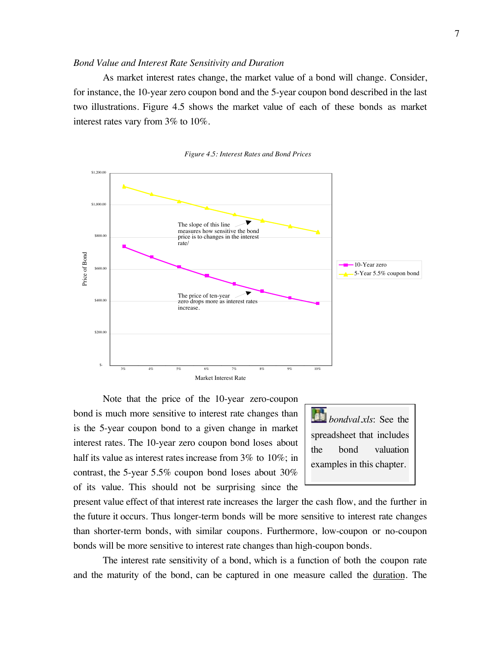#### *Bond Value and Interest Rate Sensitivity and Duration*

As market interest rates change, the market value of a bond will change. Consider, for instance, the 10-year zero coupon bond and the 5-year coupon bond described in the last two illustrations. Figure 4.5 shows the market value of each of these bonds as market interest rates vary from 3% to 10%.





Note that the price of the 10-year zero-coupon bond is much more sensitive to interest rate changes than is the 5-year coupon bond to a given change in market interest rates. The 10-year zero coupon bond loses about half its value as interest rates increase from 3% to 10%; in contrast, the 5-year 5.5% coupon bond loses about 30% of its value. This should not be surprising since the



present value effect of that interest rate increases the larger the cash flow, and the further in the future it occurs. Thus longer-term bonds will be more sensitive to interest rate changes than shorter-term bonds, with similar coupons. Furthermore, low-coupon or no-coupon bonds will be more sensitive to interest rate changes than high-coupon bonds.

The interest rate sensitivity of a bond, which is a function of both the coupon rate and the maturity of the bond, can be captured in one measure called the duration. The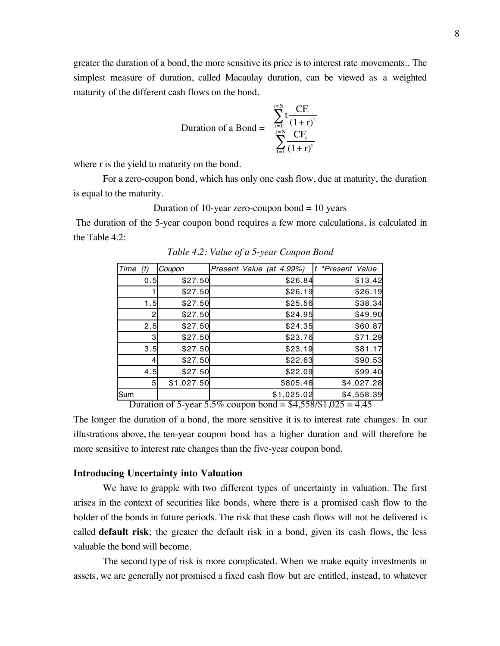greater the duration of a bond, the more sensitive its price is to interest rate movements.. The simplest measure of duration, called Macaulay duration, can be viewed as a weighted maturity of the different cash flows on the bond.

Duration of a Bond =

\n
$$
\sum_{t=1}^{t=N} \frac{CF_t}{(1+r)^t}
$$
\n
$$
\sum_{t=1}^{t=N} \frac{CF_t}{(1+r)^t}
$$

where r is the yield to maturity on the bond.

For a zero-coupon bond, which has only one cash flow, due at maturity, the duration is equal to the maturity.

Duration of 10-year zero-coupon bond  $= 10$  years

 The duration of the 5-year coupon bond requires a few more calculations, is calculated in the Table 4.2:

| Time (t)       | Coupon                        | Present Value (at 4.99%) | t *Present Value            |
|----------------|-------------------------------|--------------------------|-----------------------------|
| 0.5            | \$27.50                       | \$26.84                  | \$13.42                     |
|                | \$27.50                       | \$26.19                  | \$26.19                     |
| 1.5            | \$27.50                       | \$25.56                  | \$38.34                     |
| 2              | \$27.50                       | \$24.95                  | \$49.90                     |
| 2.5            | \$27.50                       | \$24.35                  | \$60.87                     |
| 3              | \$27.50                       | \$23.76                  | \$71.29                     |
| 3.5            | \$27.50                       | \$23.19                  | \$81.17                     |
| 4              | \$27.50                       | \$22.63                  | \$90.53                     |
| 4.5            | \$27.50                       | \$22.09                  | \$99.40                     |
| 5 <sub>l</sub> | \$1,027.50                    | \$805.46                 | \$4,027.28                  |
| Sum            |                               | \$1,025.02               | \$4,558.39                  |
| D.             | $\overline{r}$ $\overline{r}$ | F F M                    | $0.4750$ (0.1 $0.07$ $1.17$ |

*Table 4.2: Value of a 5-year Coupon Bond*

Duration of 5-year 5.5% coupon bond =  $$4,558/\$1,025 = 4.45$ 

The longer the duration of a bond, the more sensitive it is to interest rate changes. In our illustrations above, the ten-year coupon bond has a higher duration and will therefore be more sensitive to interest rate changes than the five-year coupon bond.

#### **Introducing Uncertainty into Valuation**

We have to grapple with two different types of uncertainty in valuation. The first arises in the context of securities like bonds, where there is a promised cash flow to the holder of the bonds in future periods. The risk that these cash flows will not be delivered is called **default risk**; the greater the default risk in a bond, given its cash flows, the less valuable the bond will become.

The second type of risk is more complicated. When we make equity investments in assets, we are generally not promised a fixed cash flow but are entitled, instead, to whatever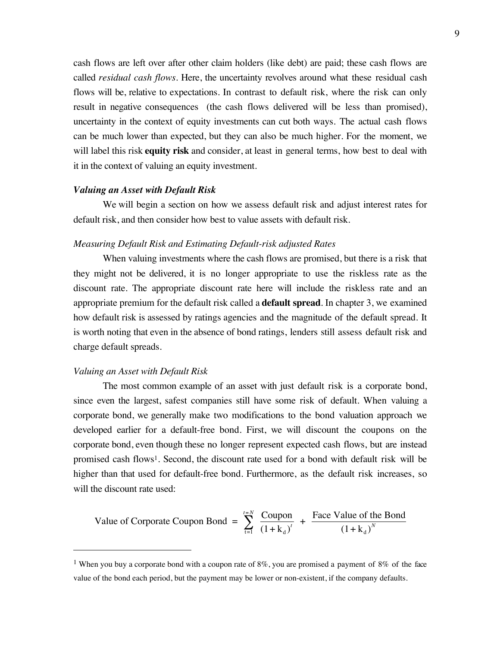cash flows are left over after other claim holders (like debt) are paid; these cash flows are called *residual cash flows*. Here, the uncertainty revolves around what these residual cash flows will be, relative to expectations. In contrast to default risk, where the risk can only result in negative consequences (the cash flows delivered will be less than promised), uncertainty in the context of equity investments can cut both ways. The actual cash flows can be much lower than expected, but they can also be much higher. For the moment, we will label this risk **equity risk** and consider, at least in general terms, how best to deal with it in the context of valuing an equity investment.

#### *Valuing an Asset with Default Risk*

We will begin a section on how we assess default risk and adjust interest rates for default risk, and then consider how best to value assets with default risk.

## *Measuring Default Risk and Estimating Default-risk adjusted Rates*

When valuing investments where the cash flows are promised, but there is a risk that they might not be delivered, it is no longer appropriate to use the riskless rate as the discount rate. The appropriate discount rate here will include the riskless rate and an appropriate premium for the default risk called a **default spread**. In chapter 3, we examined how default risk is assessed by ratings agencies and the magnitude of the default spread. It is worth noting that even in the absence of bond ratings, lenders still assess default risk and charge default spreads.

#### *Valuing an Asset with Default Risk*

 $\overline{a}$ 

The most common example of an asset with just default risk is a corporate bond, since even the largest, safest companies still have some risk of default. When valuing a corporate bond, we generally make two modifications to the bond valuation approach we developed earlier for a default-free bond. First, we will discount the coupons on the corporate bond, even though these no longer represent expected cash flows, but are instead promised cash flows1. Second, the discount rate used for a bond with default risk will be higher than that used for default-free bond. Furthermore, as the default risk increases, so will the discount rate used:

Value of Corporate Coupon Bond = 
$$
\sum_{t=1}^{t=N} \frac{\text{Coupon}}{(1+k_d)^t} + \frac{\text{Face Value of the Bond}}{(1+k_d)^N}
$$

<sup>&</sup>lt;sup>1</sup> When you buy a corporate bond with a coupon rate of  $8\%$ , you are promised a payment of  $8\%$  of the face value of the bond each period, but the payment may be lower or non-existent, if the company defaults.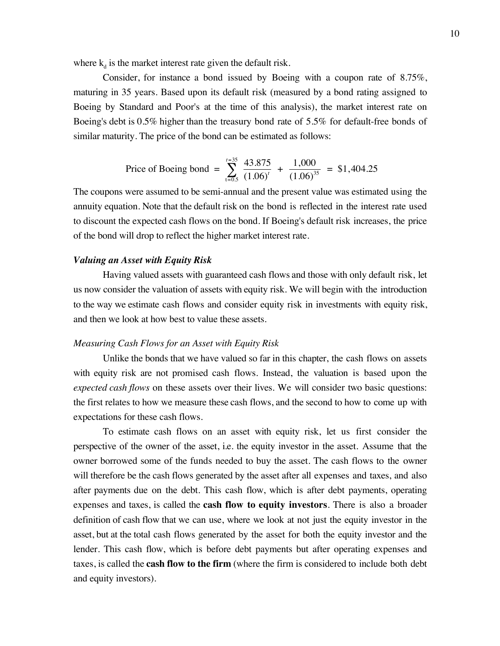where  $k_d$  is the market interest rate given the default risk.

Consider, for instance a bond issued by Boeing with a coupon rate of 8.75%, maturing in 35 years. Based upon its default risk (measured by a bond rating assigned to Boeing by Standard and Poor's at the time of this analysis), the market interest rate on Boeing's debt is 0.5% higher than the treasury bond rate of 5.5% for default-free bonds of similar maturity. The price of the bond can be estimated as follows:

Price of Boeing bond = 
$$
\sum_{i=0.5}^{t=35} \frac{43.875}{(1.06)^{t}} + \frac{1,000}{(1.06)^{35}} = $1,404.25
$$

The coupons were assumed to be semi-annual and the present value was estimated using the annuity equation. Note that the default risk on the bond is reflected in the interest rate used to discount the expected cash flows on the bond. If Boeing's default risk increases, the price of the bond will drop to reflect the higher market interest rate.

#### *Valuing an Asset with Equity Risk*

Having valued assets with guaranteed cash flows and those with only default risk, let us now consider the valuation of assets with equity risk. We will begin with the introduction to the way we estimate cash flows and consider equity risk in investments with equity risk, and then we look at how best to value these assets.

#### *Measuring Cash Flows for an Asset with Equity Risk*

Unlike the bonds that we have valued so far in this chapter, the cash flows on assets with equity risk are not promised cash flows. Instead, the valuation is based upon the *expected cash flows* on these assets over their lives. We will consider two basic questions: the first relates to how we measure these cash flows, and the second to how to come up with expectations for these cash flows.

To estimate cash flows on an asset with equity risk, let us first consider the perspective of the owner of the asset, i.e. the equity investor in the asset. Assume that the owner borrowed some of the funds needed to buy the asset. The cash flows to the owner will therefore be the cash flows generated by the asset after all expenses and taxes, and also after payments due on the debt. This cash flow, which is after debt payments, operating expenses and taxes, is called the **cash flow to equity investors**. There is also a broader definition of cash flow that we can use, where we look at not just the equity investor in the asset, but at the total cash flows generated by the asset for both the equity investor and the lender. This cash flow, which is before debt payments but after operating expenses and taxes, is called the **cash flow to the firm** (where the firm is considered to include both debt and equity investors).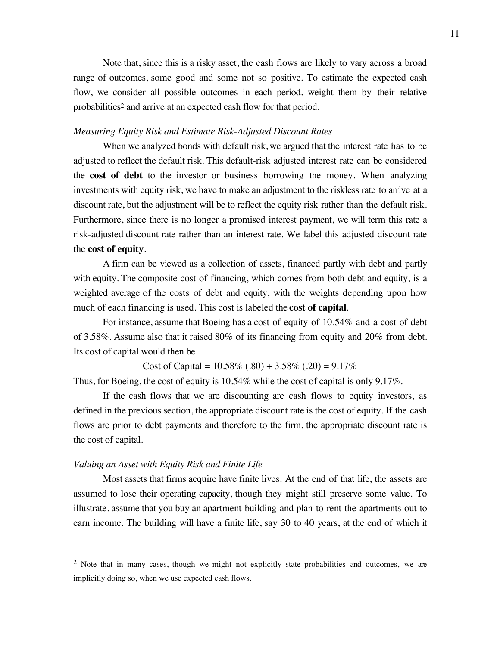Note that, since this is a risky asset, the cash flows are likely to vary across a broad range of outcomes, some good and some not so positive. To estimate the expected cash flow, we consider all possible outcomes in each period, weight them by their relative probabilities<sup>2</sup> and arrive at an expected cash flow for that period.

#### *Measuring Equity Risk and Estimate Risk-Adjusted Discount Rates*

When we analyzed bonds with default risk, we argued that the interest rate has to be adjusted to reflect the default risk. This default-risk adjusted interest rate can be considered the **cost of debt** to the investor or business borrowing the money. When analyzing investments with equity risk, we have to make an adjustment to the riskless rate to arrive at a discount rate, but the adjustment will be to reflect the equity risk rather than the default risk. Furthermore, since there is no longer a promised interest payment, we will term this rate a risk-adjusted discount rate rather than an interest rate. We label this adjusted discount rate the **cost of equity**.

A firm can be viewed as a collection of assets, financed partly with debt and partly with equity. The composite cost of financing, which comes from both debt and equity, is a weighted average of the costs of debt and equity, with the weights depending upon how much of each financing is used. This cost is labeled the **cost of capital**.

For instance, assume that Boeing has a cost of equity of 10.54% and a cost of debt of 3.58%. Assume also that it raised 80% of its financing from equity and 20% from debt. Its cost of capital would then be

Cost of Capital =  $10.58\%$  (.80) + 3.58% (.20) =  $9.17\%$ 

Thus, for Boeing, the cost of equity is 10.54% while the cost of capital is only 9.17%.

If the cash flows that we are discounting are cash flows to equity investors, as defined in the previous section, the appropriate discount rate is the cost of equity. If the cash flows are prior to debt payments and therefore to the firm, the appropriate discount rate is the cost of capital.

#### *Valuing an Asset with Equity Risk and Finite Life*

 $\overline{a}$ 

Most assets that firms acquire have finite lives. At the end of that life, the assets are assumed to lose their operating capacity, though they might still preserve some value. To illustrate, assume that you buy an apartment building and plan to rent the apartments out to earn income. The building will have a finite life, say 30 to 40 years, at the end of which it

 $2$  Note that in many cases, though we might not explicitly state probabilities and outcomes, we are implicitly doing so, when we use expected cash flows.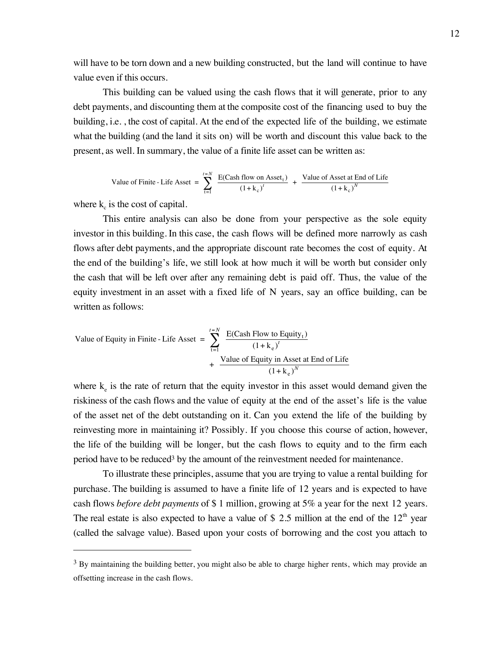will have to be torn down and a new building constructed, but the land will continue to have value even if this occurs.

This building can be valued using the cash flows that it will generate, prior to any debt payments, and discounting them at the composite cost of the financing used to buy the building, i.e. , the cost of capital. At the end of the expected life of the building, we estimate what the building (and the land it sits on) will be worth and discount this value back to the present, as well. In summary, the value of a finite life asset can be written as:

Value of Finite - Life Asset = 
$$
\sum_{t=1}^{t=N} \frac{E(Cash flow on Asset_t)}{(1+k_c)^t} + \frac{Value of Asset at End of Life}{(1+k_c)^N}
$$

where  $k_c$  is the cost of capital.

 $\overline{a}$ 

This entire analysis can also be done from your perspective as the sole equity investor in this building. In this case, the cash flows will be defined more narrowly as cash flows after debt payments, and the appropriate discount rate becomes the cost of equity. At the end of the building's life, we still look at how much it will be worth but consider only the cash that will be left over after any remaining debt is paid off. Thus, the value of the equity investment in an asset with a fixed life of N years, say an office building, can be written as follows:

Value of Equity in Finite - Life Asset = 
$$
\sum_{t=1}^{t=N} \frac{E(Cash Flow to Equity_t)}{(1 + k_e)^t}
$$

$$
+ \frac{Value of Equity in Asset at End of Life}{(1 + k_e)^N}
$$

where  $k_{\alpha}$  is the rate of return that the equity investor in this asset would demand given the riskiness of the cash flows and the value of equity at the end of the asset's life is the value of the asset net of the debt outstanding on it. Can you extend the life of the building by reinvesting more in maintaining it? Possibly. If you choose this course of action, however, the life of the building will be longer, but the cash flows to equity and to the firm each period have to be reduced3 by the amount of the reinvestment needed for maintenance.

To illustrate these principles, assume that you are trying to value a rental building for purchase. The building is assumed to have a finite life of 12 years and is expected to have cash flows *before debt payments* of \$ 1 million, growing at 5% a year for the next 12 years. The real estate is also expected to have a value of  $$ 2.5$  million at the end of the  $12<sup>th</sup>$  year (called the salvage value). Based upon your costs of borrowing and the cost you attach to

<sup>&</sup>lt;sup>3</sup> By maintaining the building better, you might also be able to charge higher rents, which may provide an offsetting increase in the cash flows.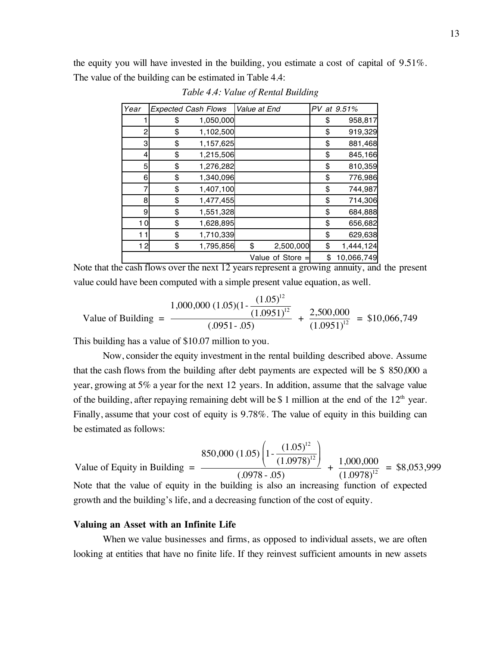the equity you will have invested in the building, you estimate a cost of capital of 9.51%. The value of the building can be estimated in Table 4.4:

| Year | <b>Expected Cash Flows</b> | Value at End |                | PV at 9.51%      |
|------|----------------------------|--------------|----------------|------------------|
|      | \$<br>1,050,000            |              |                | \$<br>958,817    |
| 2    | \$<br>1,102,500            |              |                | \$<br>919,329    |
| 3    | \$<br>1,157,625            |              |                | \$<br>881,468    |
| 4    | \$<br>1,215,506            |              |                | \$<br>845,166    |
| 5    | \$<br>1,276,282            |              |                | \$<br>810,359    |
| 6    | \$<br>1,340,096            |              |                | \$<br>776,986    |
| 7    | \$<br>1,407,100            |              |                | \$<br>744,987    |
| 8    | \$<br>1,477,455            |              |                | \$<br>714,306    |
| 9    | \$<br>1,551,328            |              |                | \$<br>684,888    |
| 10   | \$<br>1,628,895            |              |                | \$<br>656,682    |
| 11   | \$<br>1,710,339            |              |                | \$<br>629,638    |
| 12   | \$<br>1,795,856            | \$           | 2,500,000      | \$<br>1,444,124  |
|      |                            |              | Value of Store | \$<br>10,066,749 |

*Table 4.4: Value of Rental Building*

Note that the cash flows over the next 12 years represent a growing annuity, and the present value could have been computed with a simple present value equation, as well.

Value of Building = 
$$
\frac{1,000,000 (1.05)(1 - \frac{(1.05)^{12}}{(1.0951)^{12}})}{(.0951 - .05)} + \frac{2,500,000}{(1.0951)^{12}} = $10,066,749
$$

This building has a value of \$10.07 million to you.

Now, consider the equity investment in the rental building described above. Assume that the cash flows from the building after debt payments are expected will be \$ 850,000 a year, growing at 5% a year for the next 12 years. In addition, assume that the salvage value of the building, after repaying remaining debt will be \$ 1 million at the end of the  $12<sup>th</sup>$  year. Finally, assume that your cost of equity is 9.78%. The value of equity in this building can be estimated as follows:

Value of Equity in Building = 
$$
\frac{850,000 (1.05) \left(1 - \frac{(1.05)^{12}}{(1.0978)^{12}}\right)}{(0.0978 - 0.05)} + \frac{1,000,000}{(1.0978)^{12}} = $8,053,999
$$
  
Note that the value of equity in the building is also an increasing function of expected growth and the building's life, and a decreasing function of the cost of equity.

# **Valuing an Asset with an Infinite Life**

When we value businesses and firms, as opposed to individual assets, we are often looking at entities that have no finite life. If they reinvest sufficient amounts in new assets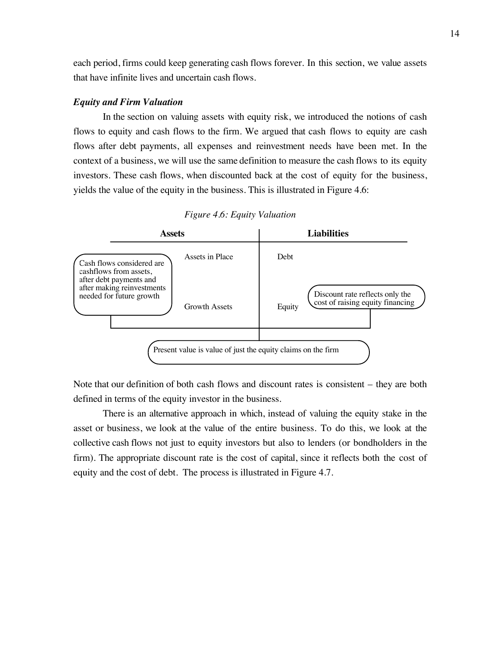each period, firms could keep generating cash flows forever. In this section, we value assets that have infinite lives and uncertain cash flows.

# *Equity and Firm Valuation*

In the section on valuing assets with equity risk, we introduced the notions of cash flows to equity and cash flows to the firm. We argued that cash flows to equity are cash flows after debt payments, all expenses and reinvestment needs have been met. In the context of a business, we will use the same definition to measure the cash flows to its equity investors. These cash flows, when discounted back at the cost of equity for the business, yields the value of the equity in the business. This is illustrated in Figure 4.6:



*Figure 4.6: Equity Valuation*

Note that our definition of both cash flows and discount rates is consistent – they are both defined in terms of the equity investor in the business.

There is an alternative approach in which, instead of valuing the equity stake in the asset or business, we look at the value of the entire business. To do this, we look at the collective cash flows not just to equity investors but also to lenders (or bondholders in the firm). The appropriate discount rate is the cost of capital, since it reflects both the cost of equity and the cost of debt. The process is illustrated in Figure 4.7.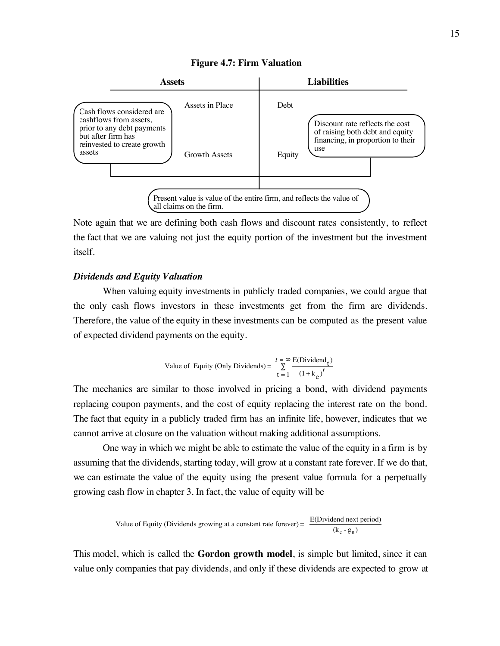#### **Figure 4.7: Firm Valuation**



Note again that we are defining both cash flows and discount rates consistently, to reflect the fact that we are valuing not just the equity portion of the investment but the investment itself.

#### *Dividends and Equity Valuation*

When valuing equity investments in publicly traded companies, we could argue that the only cash flows investors in these investments get from the firm are dividends. Therefore, the value of the equity in these investments can be computed as the present value of expected dividend payments on the equity.

Value of Equity (Only Dividends) = 
$$
\sum_{t=1}^{t=\infty} \frac{E(Dividend_t)}{(1 + k_e)^t}
$$

The mechanics are similar to those involved in pricing a bond, with dividend payments replacing coupon payments, and the cost of equity replacing the interest rate on the bond. The fact that equity in a publicly traded firm has an infinite life, however, indicates that we cannot arrive at closure on the valuation without making additional assumptions.

One way in which we might be able to estimate the value of the equity in a firm is by assuming that the dividends, starting today, will grow at a constant rate forever. If we do that, we can estimate the value of the equity using the present value formula for a perpetually growing cash flow in chapter 3. In fact, the value of equity will be

Value of Equity (Dividends growing at a constant rate forever) = 
$$
\frac{E(Dividend next period)}{(k_e - g_n)}
$$

This model, which is called the **Gordon growth model**, is simple but limited, since it can value only companies that pay dividends, and only if these dividends are expected to grow at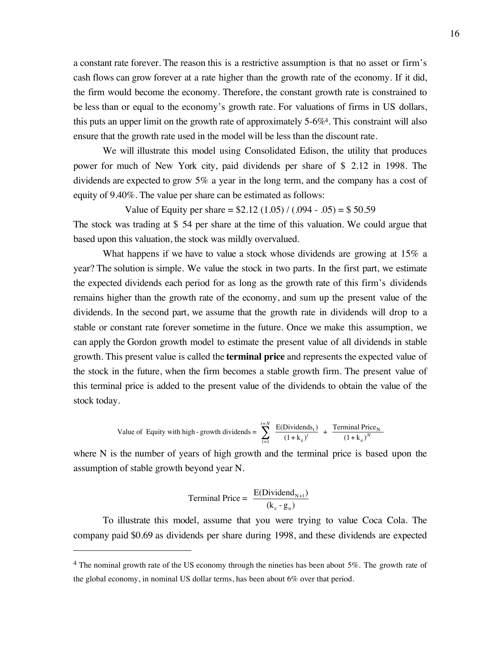a constant rate forever. The reason this is a restrictive assumption is that no asset or firm's cash flows can grow forever at a rate higher than the growth rate of the economy. If it did, the firm would become the economy. Therefore, the constant growth rate is constrained to be less than or equal to the economy's growth rate. For valuations of firms in US dollars, this puts an upper limit on the growth rate of approximately 5-6%4. This constraint will also ensure that the growth rate used in the model will be less than the discount rate.

We will illustrate this model using Consolidated Edison, the utility that produces power for much of New York city, paid dividends per share of \$ 2.12 in 1998. The dividends are expected to grow 5% a year in the long term, and the company has a cost of equity of 9.40%. The value per share can be estimated as follows:

Value of Equity per share =  $$2.12 (1.05) / (0.094 - 0.05) = $50.59$ The stock was trading at \$ 54 per share at the time of this valuation. We could argue that based upon this valuation, the stock was mildly overvalued.

What happens if we have to value a stock whose dividends are growing at 15% a year? The solution is simple. We value the stock in two parts. In the first part, we estimate the expected dividends each period for as long as the growth rate of this firm's dividends remains higher than the growth rate of the economy, and sum up the present value of the dividends. In the second part, we assume that the growth rate in dividends will drop to a stable or constant rate forever sometime in the future. Once we make this assumption, we can apply the Gordon growth model to estimate the present value of all dividends in stable growth. This present value is called the **terminal price** and represents the expected value of the stock in the future, when the firm becomes a stable growth firm. The present value of this terminal price is added to the present value of the dividends to obtain the value of the stock today.

Value of Equity with high-growth dividends = 
$$
\sum_{t=1}^{t=N} \frac{E(Dividends_t)}{(1+k_e)^t} + \frac{\text{Terminal Price}_N}{(1+k_e)^N}
$$

where N is the number of years of high growth and the terminal price is based upon the assumption of stable growth beyond year N.

**Terminal Price** = 
$$
\frac{E(Dividend_{N+1})}{(k_e - g_n)}
$$

To illustrate this model, assume that you were trying to value Coca Cola. The company paid \$0.69 as dividends per share during 1998, and these dividends are expected

 $\overline{a}$ 

 $4$  The nominal growth rate of the US economy through the nineties has been about 5%. The growth rate of the global economy, in nominal US dollar terms, has been about 6% over that period.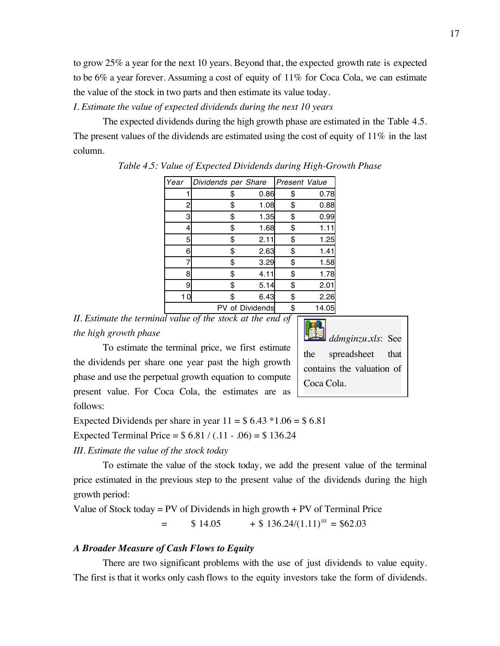to grow 25% a year for the next 10 years. Beyond that, the expected growth rate is expected to be  $6\%$  a year forever. Assuming a cost of equity of  $11\%$  for Coca Cola, we can estimate the value of the stock in two parts and then estimate its value today.

*I. Estimate the value of expected dividends during the next 10 years*

The expected dividends during the high growth phase are estimated in the Table 4.5. The present values of the dividends are estimated using the cost of equity of 11% in the last column.

| Year | Dividends per Share |                        | <b>Present Value</b> |       |
|------|---------------------|------------------------|----------------------|-------|
|      |                     |                        |                      |       |
|      | \$                  | 0.86                   | \$                   | 0.78  |
| 2    | \$                  | 1.08                   | \$                   | 0.88  |
| 3    | \$                  | 1.35                   | \$                   | 0.99  |
| 4    | \$                  | 1.68                   | \$                   | 1.11  |
| 5    | \$                  | 2.11                   | \$                   | 1.25  |
| 6    | \$                  | 2.63                   | \$                   | 1.41  |
| 7    | \$                  | 3.29                   | \$                   | 1.58  |
| 8    | \$                  | 4.11                   | \$                   | 1.78  |
| 9    | \$                  | 5.14                   | \$                   | 2.01  |
|      | \$                  | 6.43                   | \$                   | 2.26  |
|      |                     | <b>PV</b> of Dividends | \$                   | 14.05 |

| Table 4.5: Value of Expected Dividends during High-Growth Phase |  |  |  |  |
|-----------------------------------------------------------------|--|--|--|--|
|-----------------------------------------------------------------|--|--|--|--|

*II. Estimate the terminal value of the stock at the end of the high growth phase*

To estimate the terminal price, we first estimate the dividends per share one year past the high growth phase and use the perpetual growth equation to compute present value. For Coca Cola, the estimates are as follows:



Expected Dividends per share in year  $11 = $6.43 *1.06 = $6.81$ 

Expected Terminal Price =  $$6.81 / (.11 - .06) = $136.24$ 

*III. Estimate the value of the stock today*

To estimate the value of the stock today, we add the present value of the terminal price estimated in the previous step to the present value of the dividends during the high growth period:

Value of Stock today = PV of Dividends in high growth  $+$  PV of Terminal Price  $=$  \$ 14.05  $+$  \$ 136.24/(1.11)<sup>10</sup>  $=$  \$62.03

## *A Broader Measure of Cash Flows to Equity*

There are two significant problems with the use of just dividends to value equity. The first is that it works only cash flows to the equity investors take the form of dividends.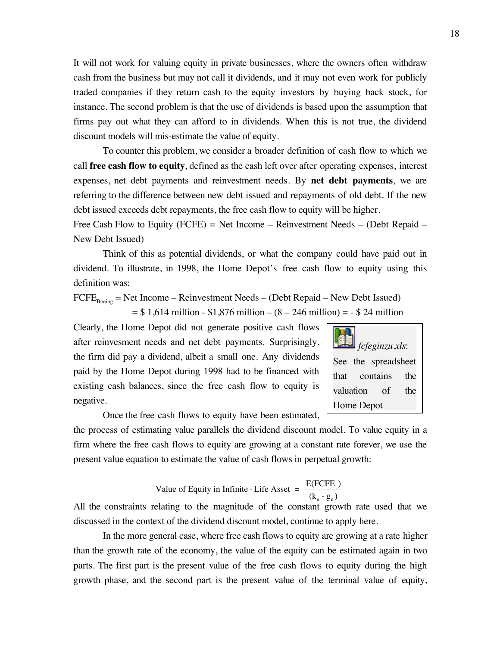It will not work for valuing equity in private businesses, where the owners often withdraw cash from the business but may not call it dividends, and it may not even work for publicly traded companies if they return cash to the equity investors by buying back stock, for instance. The second problem is that the use of dividends is based upon the assumption that firms pay out what they can afford to in dividends. When this is not true, the dividend discount models will mis-estimate the value of equity.

To counter this problem, we consider a broader definition of cash flow to which we call **free cash flow to equity**, defined as the cash left over after operating expenses, interest expenses, net debt payments and reinvestment needs. By **net debt payments**, we are referring to the difference between new debt issued and repayments of old debt. If the new debt issued exceeds debt repayments, the free cash flow to equity will be higher.

Free Cash Flow to Equity (FCFE) = Net Income – Reinvestment Needs – (Debt Repaid – New Debt Issued)

Think of this as potential dividends, or what the company could have paid out in dividend. To illustrate, in 1998, the Home Depot's free cash flow to equity using this definition was:

 $F CFE<sub>Boeino</sub>$  = Net Income – Reinvestment Needs – (Debt Repaid – New Debt Issued)  $= $ 1,614$  million - \$1,876 million –  $(8 – 246$  million) = - \$24 million

Clearly, the Home Depot did not generate positive cash flows after reinvesment needs and net debt payments. Surprisingly, the firm did pay a dividend, albeit a small one. Any dividends paid by the Home Depot during 1998 had to be financed with existing cash balances, since the free cash flow to equity is negative.



Once the free cash flows to equity have been estimated,

the process of estimating value parallels the dividend discount model. To value equity in a firm where the free cash flows to equity are growing at a constant rate forever, we use the present value equation to estimate the value of cash flows in perpetual growth:

> Value of Equity in Infinite - Life Asset =  $\frac{E(FCFE_t)}{A}$  $(k_e - g$ t  $(e - g_n)$

All the constraints relating to the magnitude of the constant growth rate used that we discussed in the context of the dividend discount model, continue to apply here.

In the more general case, where free cash flows to equity are growing at a rate higher than the growth rate of the economy, the value of the equity can be estimated again in two parts. The first part is the present value of the free cash flows to equity during the high growth phase, and the second part is the present value of the terminal value of equity,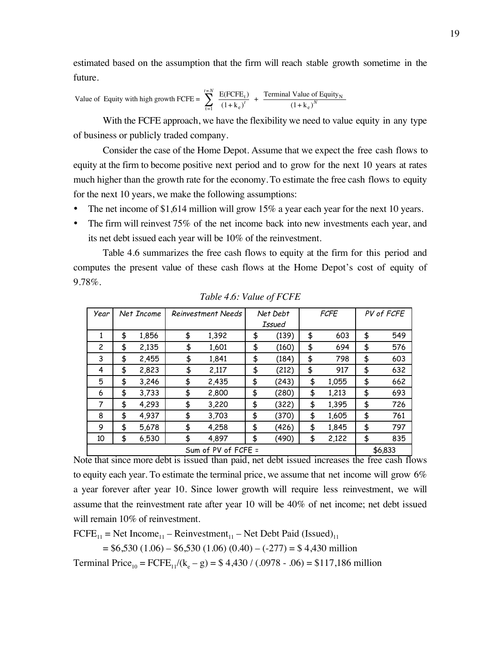estimated based on the assumption that the firm will reach stable growth sometime in the future.

Value of Equity with high growth FCFE = 
$$
\sum_{t=1}^{t=N} \frac{E(FCFE_t)}{(1+k_e)^t} + \frac{\text{Terminal Value of Equity}_N}{(1+k_e)^N}
$$

With the FCFE approach, we have the flexibility we need to value equity in any type of business or publicly traded company.

Consider the case of the Home Depot. Assume that we expect the free cash flows to equity at the firm to become positive next period and to grow for the next 10 years at rates much higher than the growth rate for the economy. To estimate the free cash flows to equity for the next 10 years, we make the following assumptions:

- The net income of \$1,614 million will grow 15% a year each year for the next 10 years.
- The firm will reinvest 75% of the net income back into new investments each year, and its net debt issued each year will be 10% of the reinvestment.

Table 4.6 summarizes the free cash flows to equity at the firm for this period and computes the present value of these cash flows at the Home Depot's cost of equity of 9.78%.

| Year |                     | Net Income | Reinvestment Needs |       |        | Net Debt |    | <b>FCFE</b> |         | PV of FCFE |
|------|---------------------|------------|--------------------|-------|--------|----------|----|-------------|---------|------------|
|      |                     |            |                    |       | Issued |          |    |             |         |            |
| 1    | \$                  | 1,856      | \$                 | 1,392 | \$     | (139)    | \$ | 603         | \$      | 549        |
| 2    | \$                  | 2,135      | \$                 | 1,601 | \$     | (160)    | \$ | 694         | \$      | 576        |
| 3    | \$                  | 2,455      | \$                 | 1,841 | \$     | (184)    | \$ | 798         | \$      | 603        |
| 4    | \$                  | 2,823      | \$                 | 2,117 | \$     | (212)    | \$ | 917         | \$      | 632        |
| 5    | \$                  | 3,246      | \$                 | 2,435 | \$     | (243)    | \$ | 1,055       | \$      | 662        |
| 6    | \$                  | 3,733      | \$                 | 2,800 | \$     | (280)    | \$ | 1,213       | \$      | 693        |
| 7    | \$                  | 4,293      | \$                 | 3,220 | \$     | (322)    | \$ | 1,395       | \$      | 726        |
| 8    | \$                  | 4.937      | \$                 | 3,703 | \$     | (370)    | \$ | 1,605       | \$      | 761        |
| 9    | \$                  | 5,678      | \$                 | 4,258 | \$     | (426)    | \$ | 1,845       | \$      | 797        |
| 10   | \$                  | 6,530      | \$                 | 4,897 | \$     | (490)    | \$ | 2,122       | \$      | 835        |
|      | Sum of PV of FCFE = |            |                    |       |        |          |    |             | \$6,833 |            |

*Table 4.6: Value of FCFE*

Note that since more debt is issued than paid, net debt issued increases the free cash flows to equity each year. To estimate the terminal price, we assume that net income will grow  $6\%$ a year forever after year 10. Since lower growth will require less reinvestment, we will assume that the reinvestment rate after year 10 will be 40% of net income; net debt issued will remain 10% of reinvestment.

 $\text{FCFE}_{11} = \text{Net Income}_{11} - \text{Reinvestment}_{11} - \text{Net Debt Paid (Issued)}_{11}$ 

 $= $6,530 (1.06) - $6,530 (1.06) (0.40) - (-277) = $4,430$  million Terminal Price<sub>10</sub> = FCFE<sub>11</sub>/(k<sub>e</sub> – g) = \$ 4,430 / (.0978 - .06) = \$117,186 million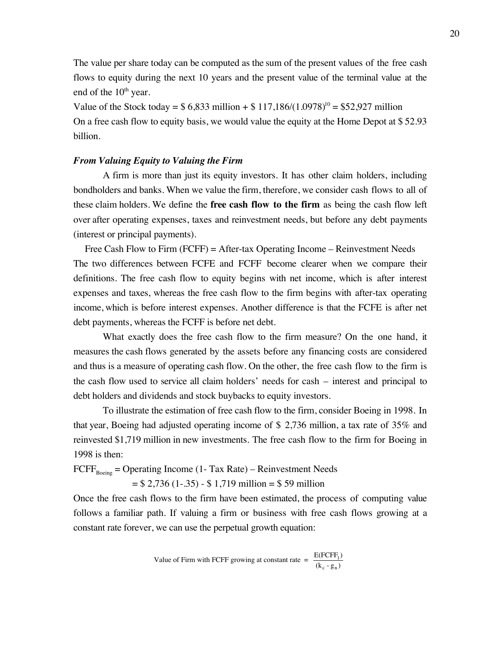The value per share today can be computed as the sum of the present values of the free cash flows to equity during the next 10 years and the present value of the terminal value at the end of the  $10<sup>th</sup>$  year.

Value of the Stock today =  $$6,833$  million +  $$117,186/(1.0978)^{10} = $52,927$  million On a free cash flow to equity basis, we would value the equity at the Home Depot at \$ 52.93 billion.

## *From Valuing Equity to Valuing the Firm*

A firm is more than just its equity investors. It has other claim holders, including bondholders and banks. When we value the firm, therefore, we consider cash flows to all of these claim holders. We define the **free cash flow to the firm** as being the cash flow left over after operating expenses, taxes and reinvestment needs, but before any debt payments (interest or principal payments).

Free Cash Flow to Firm (FCFF) = After-tax Operating Income – Reinvestment Needs The two differences between FCFE and FCFF become clearer when we compare their definitions. The free cash flow to equity begins with net income, which is after interest expenses and taxes, whereas the free cash flow to the firm begins with after-tax operating income, which is before interest expenses. Another difference is that the FCFE is after net debt payments, whereas the FCFF is before net debt.

What exactly does the free cash flow to the firm measure? On the one hand, it measures the cash flows generated by the assets before any financing costs are considered and thus is a measure of operating cash flow. On the other, the free cash flow to the firm is the cash flow used to service all claim holders' needs for cash – interest and principal to debt holders and dividends and stock buybacks to equity investors.

To illustrate the estimation of free cash flow to the firm, consider Boeing in 1998. In that year, Boeing had adjusted operating income of \$ 2,736 million, a tax rate of 35% and reinvested \$1,719 million in new investments. The free cash flow to the firm for Boeing in 1998 is then:

 $FCFF_{Boeine} = Operating Income (1- Tax Rate) - Reinvestment Needs$  $= $ 2,736 (1-.35) - $ 1,719 \text{ million} = $ 59 \text{ million}$ 

Once the free cash flows to the firm have been estimated, the process of computing value follows a familiar path. If valuing a firm or business with free cash flows growing at a constant rate forever, we can use the perpetual growth equation:

Value of Firm with FCFF growing at constant rate = 
$$
\frac{E(FCFF_1)}{(k_c - g_n)}
$$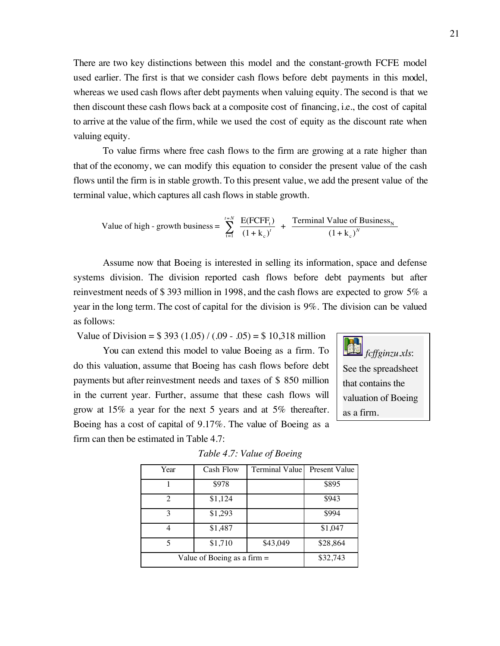There are two key distinctions between this model and the constant-growth FCFE model used earlier. The first is that we consider cash flows before debt payments in this model, whereas we used cash flows after debt payments when valuing equity. The second is that we then discount these cash flows back at a composite cost of financing, i.e., the cost of capital to arrive at the value of the firm, while we used the cost of equity as the discount rate when valuing equity.

To value firms where free cash flows to the firm are growing at a rate higher than that of the economy, we can modify this equation to consider the present value of the cash flows until the firm is in stable growth. To this present value, we add the present value of the terminal value, which captures all cash flows in stable growth.

Value of high - growth business = 
$$
\sum_{t=1}^{t=N} \frac{E(FCFF_t)}{(1+k_c)^t} + \frac{\text{Terminal Value of Business}_N}{(1+k_c)^N}
$$

Assume now that Boeing is interested in selling its information, space and defense systems division. The division reported cash flows before debt payments but after reinvestment needs of \$ 393 million in 1998, and the cash flows are expected to grow 5% a year in the long term. The cost of capital for the division is 9%. The division can be valued as follows:

Value of Division =  $$393 (1.05) / (0.09 - 0.05) = $10,318$  million

You can extend this model to value Boeing as a firm. To do this valuation, assume that Boeing has cash flows before debt payments but after reinvestment needs and taxes of \$ 850 million in the current year. Further, assume that these cash flows will grow at 15% a year for the next 5 years and at 5% thereafter. Boeing has a cost of capital of 9.17%. The value of Boeing as a firm can then be estimated in Table 4.7:

*fcffginzu.xls*: See the spreadsheet that contains the valuation of Boeing as a firm.

| Year                          | Cash Flow | Terminal Value | Present Value |
|-------------------------------|-----------|----------------|---------------|
|                               | \$978     |                | \$895         |
| 2                             | \$1,124   |                | \$943         |
| 3                             | \$1,293   |                | \$994         |
|                               | \$1,487   |                | \$1,047       |
| 5                             | \$1,710   | \$43,049       | \$28,864      |
| Value of Boeing as a firm $=$ | \$32,743  |                |               |

*Table 4.7: Value of Boeing*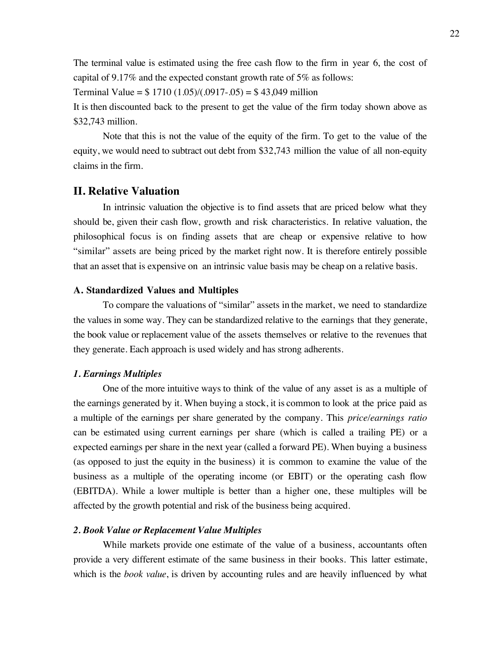The terminal value is estimated using the free cash flow to the firm in year 6, the cost of capital of 9.17% and the expected constant growth rate of 5% as follows:

Terminal Value =  $$ 1710 (1.05)/(0.0917-0.05) = $ 43,049$  million

It is then discounted back to the present to get the value of the firm today shown above as \$32,743 million.

Note that this is not the value of the equity of the firm. To get to the value of the equity, we would need to subtract out debt from \$32,743 million the value of all non-equity claims in the firm.

# **II. Relative Valuation**

In intrinsic valuation the objective is to find assets that are priced below what they should be, given their cash flow, growth and risk characteristics. In relative valuation, the philosophical focus is on finding assets that are cheap or expensive relative to how "similar" assets are being priced by the market right now. It is therefore entirely possible that an asset that is expensive on an intrinsic value basis may be cheap on a relative basis.

#### **A. Standardized Values and Multiples**

To compare the valuations of "similar" assets in the market, we need to standardize the values in some way. They can be standardized relative to the earnings that they generate, the book value or replacement value of the assets themselves or relative to the revenues that they generate. Each approach is used widely and has strong adherents.

# *1. Earnings Multiples*

One of the more intuitive ways to think of the value of any asset is as a multiple of the earnings generated by it. When buying a stock, it is common to look at the price paid as a multiple of the earnings per share generated by the company. This *price/earnings ratio* can be estimated using current earnings per share (which is called a trailing PE) or a expected earnings per share in the next year (called a forward PE). When buying a business (as opposed to just the equity in the business) it is common to examine the value of the business as a multiple of the operating income (or EBIT) or the operating cash flow (EBITDA). While a lower multiple is better than a higher one, these multiples will be affected by the growth potential and risk of the business being acquired.

### *2. Book Value or Replacement Value Multiples*

While markets provide one estimate of the value of a business, accountants often provide a very different estimate of the same business in their books. This latter estimate, which is the *book value*, is driven by accounting rules and are heavily influenced by what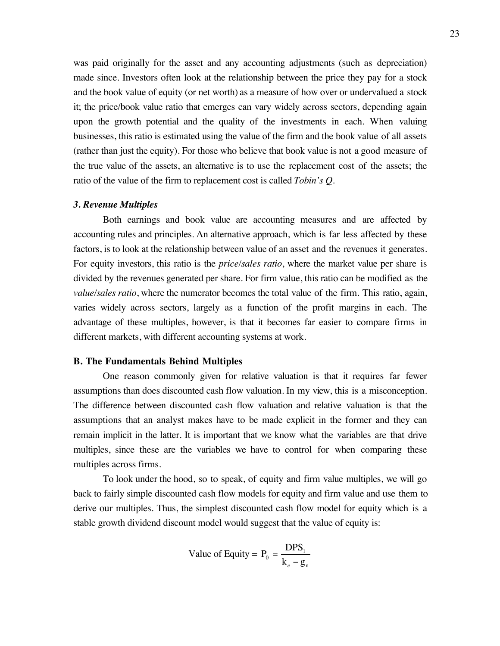was paid originally for the asset and any accounting adjustments (such as depreciation) made since. Investors often look at the relationship between the price they pay for a stock and the book value of equity (or net worth) as a measure of how over or undervalued a stock it; the price/book value ratio that emerges can vary widely across sectors, depending again upon the growth potential and the quality of the investments in each. When valuing businesses, this ratio is estimated using the value of the firm and the book value of all assets (rather than just the equity). For those who believe that book value is not a good measure of the true value of the assets, an alternative is to use the replacement cost of the assets; the ratio of the value of the firm to replacement cost is called *Tobin's Q*.

#### *3. Revenue Multiples*

Both earnings and book value are accounting measures and are affected by accounting rules and principles. An alternative approach, which is far less affected by these factors, is to look at the relationship between value of an asset and the revenues it generates. For equity investors, this ratio is the *price/sales ratio*, where the market value per share is divided by the revenues generated per share. For firm value, this ratio can be modified as the *value/sales ratio*, where the numerator becomes the total value of the firm. This ratio, again, varies widely across sectors, largely as a function of the profit margins in each. The advantage of these multiples, however, is that it becomes far easier to compare firms in different markets, with different accounting systems at work.

#### **B. The Fundamentals Behind Multiples**

One reason commonly given for relative valuation is that it requires far fewer assumptions than does discounted cash flow valuation. In my view, this is a misconception. The difference between discounted cash flow valuation and relative valuation is that the assumptions that an analyst makes have to be made explicit in the former and they can remain implicit in the latter. It is important that we know what the variables are that drive multiples, since these are the variables we have to control for when comparing these multiples across firms.

To look under the hood, so to speak, of equity and firm value multiples, we will go back to fairly simple discounted cash flow models for equity and firm value and use them to derive our multiples. Thus, the simplest discounted cash flow model for equity which is a stable growth dividend discount model would suggest that the value of equity is:

Value of Equity = 
$$
P_0 = \frac{DPS_1}{k_e - g_n}
$$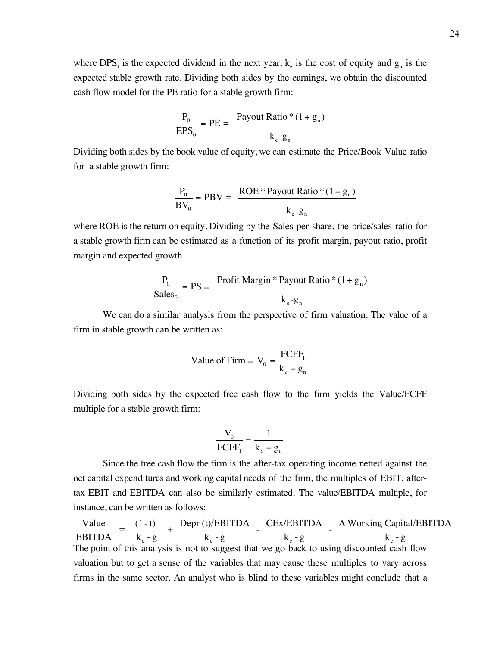where DPS<sub>1</sub> is the expected dividend in the next year,  $k_e$  is the cost of equity and  $g_n$  is the expected stable growth rate. Dividing both sides by the earnings, we obtain the discounted cash flow model for the PE ratio for a stable growth firm:

$$
\frac{P_0}{EPS_0} = PE = \frac{Payout Ratio * (1 + g_n)}{k_e - g_n}
$$

Dividing both sides by the book value of equity, we can estimate the Price/Book Value ratio for a stable growth firm:

$$
\frac{P_0}{BV_0} = PBV = \frac{ROE * Payout Ratio * (1 + g_n)}{k_e - g_n}
$$

where ROE is the return on equity. Dividing by the Sales per share, the price/sales ratio for a stable growth firm can be estimated as a function of its profit margin, payout ratio, profit margin and expected growth.

$$
\frac{P_0}{\text{Sales}_0} = PS = \frac{\text{Profit Margin * Payout Ratio * (1 + g_n)}}{k_e - g_n}
$$

We can do a similar analysis from the perspective of firm valuation. The value of a firm in stable growth can be written as:

Value of Firm = 
$$
V_0 = \frac{FCFF_1}{k_c - g_n}
$$

Dividing both sides by the expected free cash flow to the firm yields the Value/FCFF multiple for a stable growth firm:

$$
\frac{V_0}{\text{FCFF}_1} = \frac{1}{k_c - g_n}
$$

Since the free cash flow the firm is the after-tax operating income netted against the net capital expenditures and working capital needs of the firm, the multiples of EBIT, aftertax EBIT and EBITDA can also be similarly estimated. The value/EBITDA multiple, for instance, can be written as follows:

Value EBITDA  $=\frac{(1-t)}{1}$  $k_{\rm c}$  - g  $\frac{(-t)}{k_c - g}$  +  $\frac{Depr(t)/EBITDA}{k_c - g}$  -  $\frac{CEx/EBITDA}{k_c - g}$  -  $\frac{\Delta \text{ Working Capital/EBITDA}}{k_c - g}$ Δ Working Capital/EBITDA The point of this analysis is not to suggest that we go back to using discounted cash flow valuation but to get a sense of the variables that may cause these multiples to vary across firms in the same sector. An analyst who is blind to these variables might conclude that a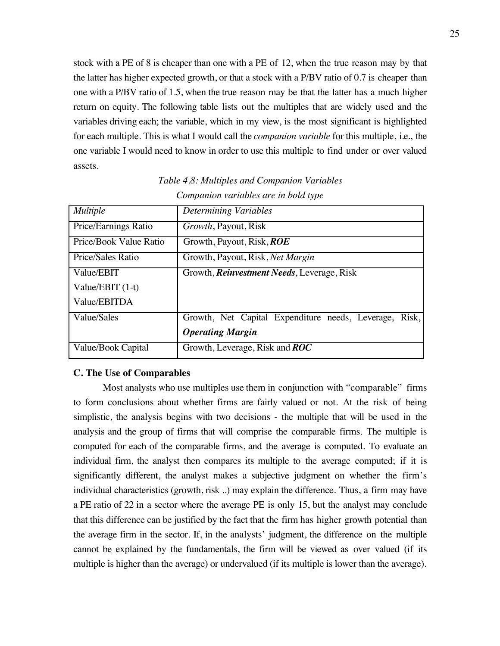stock with a PE of 8 is cheaper than one with a PE of 12, when the true reason may by that the latter has higher expected growth, or that a stock with a P/BV ratio of 0.7 is cheaper than one with a P/BV ratio of 1.5, when the true reason may be that the latter has a much higher return on equity. The following table lists out the multiples that are widely used and the variables driving each; the variable, which in my view, is the most significant is highlighted for each multiple. This is what I would call the *companion variable* for this multiple, i.e., the one variable I would need to know in order to use this multiple to find under or over valued assets.

| <i>Multiple</i>        | <b>Determining Variables</b>                              |
|------------------------|-----------------------------------------------------------|
| Price/Earnings Ratio   | Growth, Payout, Risk                                      |
| Price/Book Value Ratio | Growth, Payout, Risk, <b>ROE</b>                          |
| Price/Sales Ratio      | Growth, Payout, Risk, Net Margin                          |
| Value/EBIT             | Growth, <i>Reinvestment Needs</i> , Leverage, Risk        |
| Value/EBIT $(1-t)$     |                                                           |
| Value/EBITDA           |                                                           |
| Value/Sales            | Growth, Net Capital Expenditure needs, Leverage,<br>Risk, |
|                        | <b>Operating Margin</b>                                   |
| Value/Book Capital     | Growth, Leverage, Risk and <b>ROC</b>                     |

| Table 4.8: Multiples and Companion Variables |  |
|----------------------------------------------|--|
| Companion variables are in bold type         |  |

# **C. The Use of Comparables**

Most analysts who use multiples use them in conjunction with "comparable" firms to form conclusions about whether firms are fairly valued or not. At the risk of being simplistic, the analysis begins with two decisions - the multiple that will be used in the analysis and the group of firms that will comprise the comparable firms. The multiple is computed for each of the comparable firms, and the average is computed. To evaluate an individual firm, the analyst then compares its multiple to the average computed; if it is significantly different, the analyst makes a subjective judgment on whether the firm's individual characteristics (growth, risk ..) may explain the difference. Thus, a firm may have a PE ratio of 22 in a sector where the average PE is only 15, but the analyst may conclude that this difference can be justified by the fact that the firm has higher growth potential than the average firm in the sector. If, in the analysts' judgment, the difference on the multiple cannot be explained by the fundamentals, the firm will be viewed as over valued (if its multiple is higher than the average) or undervalued (if its multiple is lower than the average).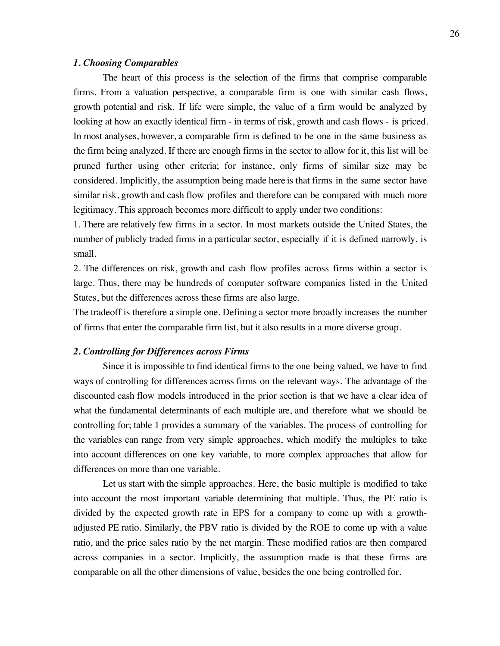# *1. Choosing Comparables*

The heart of this process is the selection of the firms that comprise comparable firms. From a valuation perspective, a comparable firm is one with similar cash flows, growth potential and risk. If life were simple, the value of a firm would be analyzed by looking at how an exactly identical firm - in terms of risk, growth and cash flows - is priced. In most analyses, however, a comparable firm is defined to be one in the same business as the firm being analyzed. If there are enough firms in the sector to allow for it, this list will be pruned further using other criteria; for instance, only firms of similar size may be considered. Implicitly, the assumption being made here is that firms in the same sector have similar risk, growth and cash flow profiles and therefore can be compared with much more legitimacy. This approach becomes more difficult to apply under two conditions:

1. There are relatively few firms in a sector. In most markets outside the United States, the number of publicly traded firms in a particular sector, especially if it is defined narrowly, is small.

2. The differences on risk, growth and cash flow profiles across firms within a sector is large. Thus, there may be hundreds of computer software companies listed in the United States, but the differences across these firms are also large.

The tradeoff is therefore a simple one. Defining a sector more broadly increases the number of firms that enter the comparable firm list, but it also results in a more diverse group.

## *2. Controlling for Differences across Firms*

Since it is impossible to find identical firms to the one being valued, we have to find ways of controlling for differences across firms on the relevant ways. The advantage of the discounted cash flow models introduced in the prior section is that we have a clear idea of what the fundamental determinants of each multiple are, and therefore what we should be controlling for; table 1 provides a summary of the variables. The process of controlling for the variables can range from very simple approaches, which modify the multiples to take into account differences on one key variable, to more complex approaches that allow for differences on more than one variable.

Let us start with the simple approaches. Here, the basic multiple is modified to take into account the most important variable determining that multiple. Thus, the PE ratio is divided by the expected growth rate in EPS for a company to come up with a growthadjusted PE ratio. Similarly, the PBV ratio is divided by the ROE to come up with a value ratio, and the price sales ratio by the net margin. These modified ratios are then compared across companies in a sector. Implicitly, the assumption made is that these firms are comparable on all the other dimensions of value, besides the one being controlled for.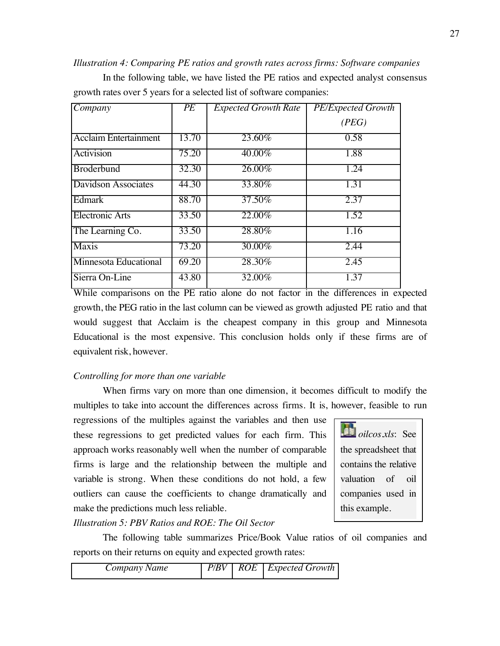# *Illustration 4: Comparing PE ratios and growth rates across firms: Software companies*

In the following table, we have listed the PE ratios and expected analyst consensus growth rates over 5 years for a selected list of software companies:

| Company                      | $\overline{PE}$ | <b>Expected Growth Rate</b> | <b>PE/Expected Growth</b> |
|------------------------------|-----------------|-----------------------------|---------------------------|
|                              |                 |                             | (PEG)                     |
| <b>Acclaim Entertainment</b> | 13.70           | 23.60%                      | 0.58                      |
| Activision                   | 75.20           | 40.00%                      | 1.88                      |
| <b>Broderbund</b>            | 32.30           | 26.00%                      | 1.24                      |
| Davidson Associates          | 44.30           | 33.80%                      | 1.31                      |
| Edmark                       | 88.70           | 37.50%                      | 2.37                      |
| <b>Electronic Arts</b>       | 33.50           | 22.00%                      | 1.52                      |
| The Learning Co.             | 33.50           | 28.80%                      | 1.16                      |
| <b>Maxis</b>                 | 73.20           | 30.00%                      | 2.44                      |
| Minnesota Educational        | 69.20           | 28.30%                      | 2.45                      |
| Sierra On-Line               | 43.80           | 32.00%                      | 1 37                      |

While comparisons on the PE ratio alone do not factor in the differences in expected growth, the PEG ratio in the last column can be viewed as growth adjusted PE ratio and that would suggest that Acclaim is the cheapest company in this group and Minnesota Educational is the most expensive. This conclusion holds only if these firms are of equivalent risk, however.

# *Controlling for more than one variable*

When firms vary on more than one dimension, it becomes difficult to modify the multiples to take into account the differences across firms. It is, however, feasible to run

regressions of the multiples against the variables and then use these regressions to get predicted values for each firm. This approach works reasonably well when the number of comparable firms is large and the relationship between the multiple and variable is strong. When these conditions do not hold, a few outliers can cause the coefficients to change dramatically and make the predictions much less reliable.

*oilcos.xls*: See the spreadsheet that contains the relative valuation of oil companies used in this example.

*Illustration 5: PBV Ratios and ROE: The Oil Sector*

The following table summarizes Price/Book Value ratios of oil companies and reports on their returns on equity and expected growth rates:

| Company Name |  |  | $\overline{P/BV}$ ROE Expected Growth |
|--------------|--|--|---------------------------------------|
|--------------|--|--|---------------------------------------|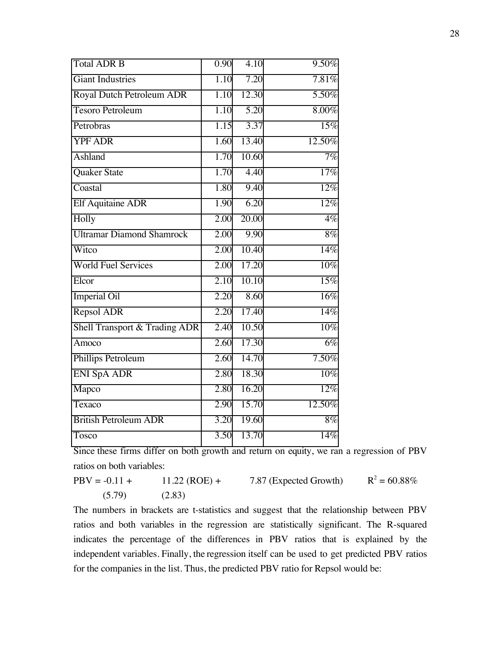| <b>Total ADR B</b>               | 0.90 | 4.10  | 9.50%    |
|----------------------------------|------|-------|----------|
| <b>Giant Industries</b>          | 1.10 | 7.20  | 7.81%    |
| Royal Dutch Petroleum ADR        | 1.10 | 12.30 | 5.50%    |
| <b>Tesoro Petroleum</b>          | 1.10 | 5.20  | $8.00\%$ |
| Petrobras                        | 1.15 | 3.37  | 15%      |
| <b>YPF ADR</b>                   | 1.60 | 13.40 | 12.50%   |
| Ashland                          | 1.70 | 10.60 | $7\%$    |
| <b>Quaker State</b>              | 1.70 | 4.40  | 17%      |
| Coastal                          | 1.80 | 9.40  | 12%      |
| <b>Elf Aquitaine ADR</b>         | 1.90 | 6.20  | 12%      |
| Holly                            | 2.00 | 20.00 | 4%       |
| <b>Ultramar Diamond Shamrock</b> | 2.00 | 9.90  | $8\%$    |
| Witco                            | 2.00 | 10.40 | 14%      |
| <b>World Fuel Services</b>       | 2.00 | 17.20 | 10%      |
| Elcor                            | 2.10 | 10.10 | 15%      |
| Imperial Oil                     | 2.20 | 8.60  | 16%      |
| <b>Repsol ADR</b>                | 2.20 | 17.40 | 14%      |
| Shell Transport & Trading ADR    | 2.40 | 10.50 | 10%      |
| Amoco                            | 2.60 | 17.30 | $6\%$    |
| Phillips Petroleum               | 2.60 | 14.70 | 7.50%    |
| <b>ENI SpA ADR</b>               | 2.80 | 18.30 | $10\%$   |
| Mapco                            | 2.80 | 16.20 | 12%      |
| Texaco                           | 2.90 | 15.70 | 12.50%   |
| <b>British Petroleum ADR</b>     | 3.20 | 19.60 | $8\%$    |
| Tosco                            | 3.50 | 13.70 | $14\%$   |

Since these firms differ on both growth and return on equity, we ran a regression of PBV ratios on both variables:

 $PBV = -0.11 + 11.22$  (ROE) + 7.87 (Expected Growth)  $R^2 = 60.88\%$ (5.79) (2.83)

The numbers in brackets are t-statistics and suggest that the relationship between PBV ratios and both variables in the regression are statistically significant. The R-squared indicates the percentage of the differences in PBV ratios that is explained by the independent variables. Finally, the regression itself can be used to get predicted PBV ratios for the companies in the list. Thus, the predicted PBV ratio for Repsol would be: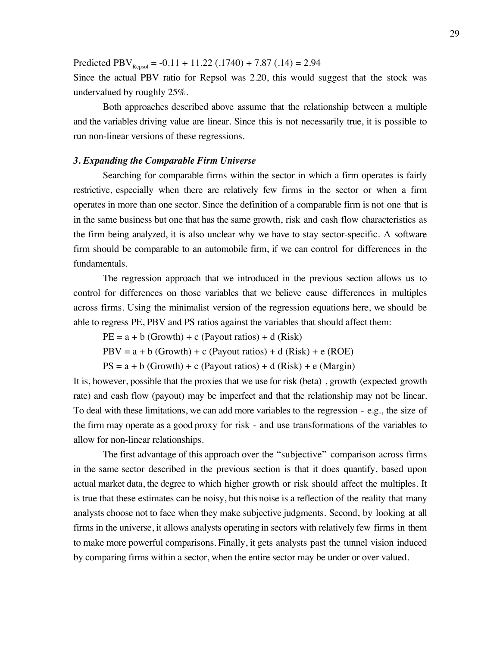Predicted PBV<sub>Repsol</sub> =  $-0.11 + 11.22$  (.1740) + 7.87 (.14) = 2.94

Since the actual PBV ratio for Repsol was 2.20, this would suggest that the stock was undervalued by roughly 25%.

Both approaches described above assume that the relationship between a multiple and the variables driving value are linear. Since this is not necessarily true, it is possible to run non-linear versions of these regressions.

## *3. Expanding the Comparable Firm Universe*

Searching for comparable firms within the sector in which a firm operates is fairly restrictive, especially when there are relatively few firms in the sector or when a firm operates in more than one sector. Since the definition of a comparable firm is not one that is in the same business but one that has the same growth, risk and cash flow characteristics as the firm being analyzed, it is also unclear why we have to stay sector-specific. A software firm should be comparable to an automobile firm, if we can control for differences in the fundamentals.

The regression approach that we introduced in the previous section allows us to control for differences on those variables that we believe cause differences in multiples across firms. Using the minimalist version of the regression equations here, we should be able to regress PE, PBV and PS ratios against the variables that should affect them:

 $PE = a + b$  (Growth) + c (Payout ratios) + d (Risk)

 $PBV = a + b$  (Growth) + c (Payout ratios) + d (Risk) + e (ROE)

 $PS = a + b$  (Growth) + c (Payout ratios) + d (Risk) + e (Margin)

It is, however, possible that the proxies that we use for risk (beta) , growth (expected growth rate) and cash flow (payout) may be imperfect and that the relationship may not be linear. To deal with these limitations, we can add more variables to the regression - e.g., the size of the firm may operate as a good proxy for risk - and use transformations of the variables to allow for non-linear relationships.

The first advantage of this approach over the "subjective" comparison across firms in the same sector described in the previous section is that it does quantify, based upon actual market data, the degree to which higher growth or risk should affect the multiples. It is true that these estimates can be noisy, but this noise is a reflection of the reality that many analysts choose not to face when they make subjective judgments. Second, by looking at all firms in the universe, it allows analysts operating in sectors with relatively few firms in them to make more powerful comparisons. Finally, it gets analysts past the tunnel vision induced by comparing firms within a sector, when the entire sector may be under or over valued.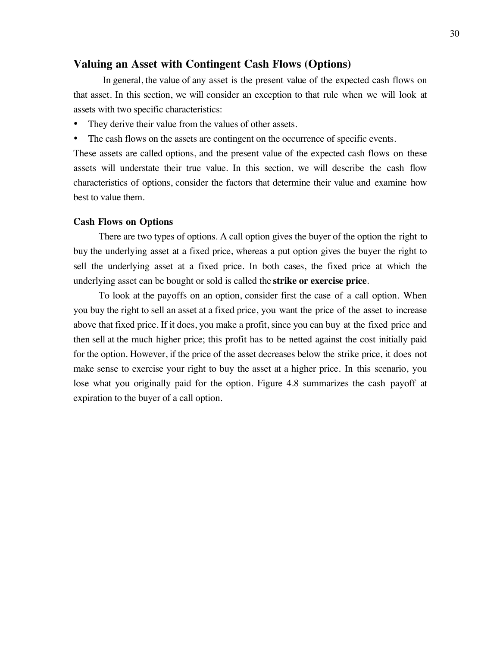# **Valuing an Asset with Contingent Cash Flows (Options)**

In general, the value of any asset is the present value of the expected cash flows on that asset. In this section, we will consider an exception to that rule when we will look at assets with two specific characteristics:

- They derive their value from the values of other assets.
- The cash flows on the assets are contingent on the occurrence of specific events.

These assets are called options, and the present value of the expected cash flows on these assets will understate their true value. In this section, we will describe the cash flow characteristics of options, consider the factors that determine their value and examine how best to value them.

#### **Cash Flows on Options**

There are two types of options. A call option gives the buyer of the option the right to buy the underlying asset at a fixed price, whereas a put option gives the buyer the right to sell the underlying asset at a fixed price. In both cases, the fixed price at which the underlying asset can be bought or sold is called the **strike or exercise price**.

To look at the payoffs on an option, consider first the case of a call option. When you buy the right to sell an asset at a fixed price, you want the price of the asset to increase above that fixed price. If it does, you make a profit, since you can buy at the fixed price and then sell at the much higher price; this profit has to be netted against the cost initially paid for the option. However, if the price of the asset decreases below the strike price, it does not make sense to exercise your right to buy the asset at a higher price. In this scenario, you lose what you originally paid for the option. Figure 4.8 summarizes the cash payoff at expiration to the buyer of a call option.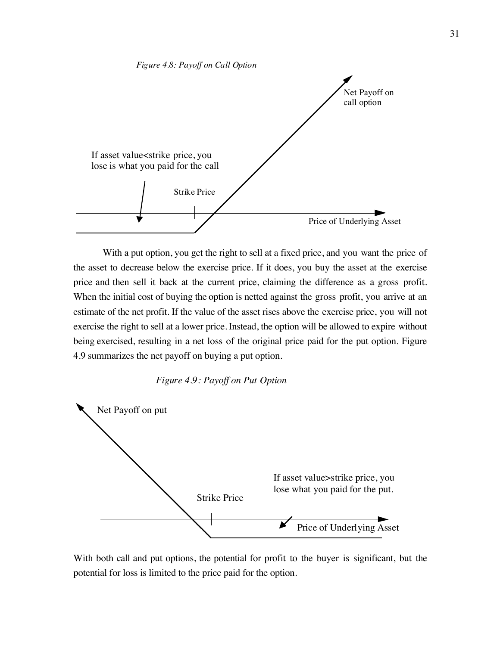

With a put option, you get the right to sell at a fixed price, and you want the price of the asset to decrease below the exercise price. If it does, you buy the asset at the exercise price and then sell it back at the current price, claiming the difference as a gross profit. When the initial cost of buying the option is netted against the gross profit, you arrive at an estimate of the net profit. If the value of the asset rises above the exercise price, you will not exercise the right to sell at a lower price. Instead, the option will be allowed to expire without being exercised, resulting in a net loss of the original price paid for the put option. Figure 4.9 summarizes the net payoff on buying a put option.





With both call and put options, the potential for profit to the buyer is significant, but the potential for loss is limited to the price paid for the option.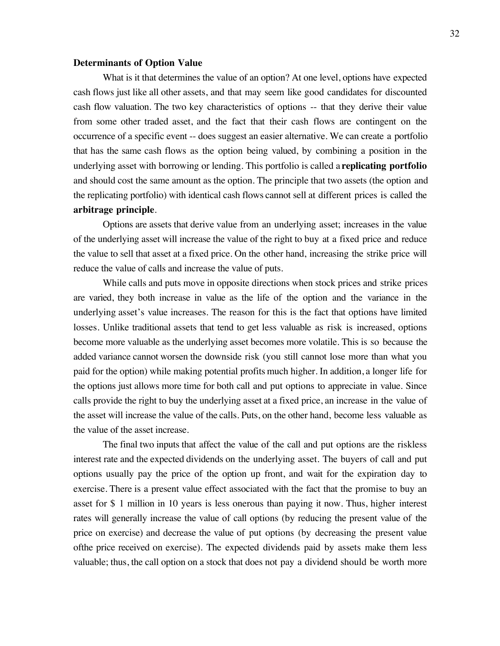## **Determinants of Option Value**

What is it that determines the value of an option? At one level, options have expected cash flows just like all other assets, and that may seem like good candidates for discounted cash flow valuation. The two key characteristics of options -- that they derive their value from some other traded asset, and the fact that their cash flows are contingent on the occurrence of a specific event -- does suggest an easier alternative. We can create a portfolio that has the same cash flows as the option being valued, by combining a position in the underlying asset with borrowing or lending. This portfolio is called a **replicating portfolio** and should cost the same amount as the option. The principle that two assets (the option and the replicating portfolio) with identical cash flows cannot sell at different prices is called the **arbitrage principle**.

Options are assets that derive value from an underlying asset; increases in the value of the underlying asset will increase the value of the right to buy at a fixed price and reduce the value to sell that asset at a fixed price. On the other hand, increasing the strike price will reduce the value of calls and increase the value of puts.

While calls and puts move in opposite directions when stock prices and strike prices are varied, they both increase in value as the life of the option and the variance in the underlying asset's value increases. The reason for this is the fact that options have limited losses. Unlike traditional assets that tend to get less valuable as risk is increased, options become more valuable as the underlying asset becomes more volatile. This is so because the added variance cannot worsen the downside risk (you still cannot lose more than what you paid for the option) while making potential profits much higher. In addition, a longer life for the options just allows more time for both call and put options to appreciate in value. Since calls provide the right to buy the underlying asset at a fixed price, an increase in the value of the asset will increase the value of the calls. Puts, on the other hand, become less valuable as the value of the asset increase.

The final two inputs that affect the value of the call and put options are the riskless interest rate and the expected dividends on the underlying asset. The buyers of call and put options usually pay the price of the option up front, and wait for the expiration day to exercise. There is a present value effect associated with the fact that the promise to buy an asset for \$ 1 million in 10 years is less onerous than paying it now. Thus, higher interest rates will generally increase the value of call options (by reducing the present value of the price on exercise) and decrease the value of put options (by decreasing the present value ofthe price received on exercise). The expected dividends paid by assets make them less valuable; thus, the call option on a stock that does not pay a dividend should be worth more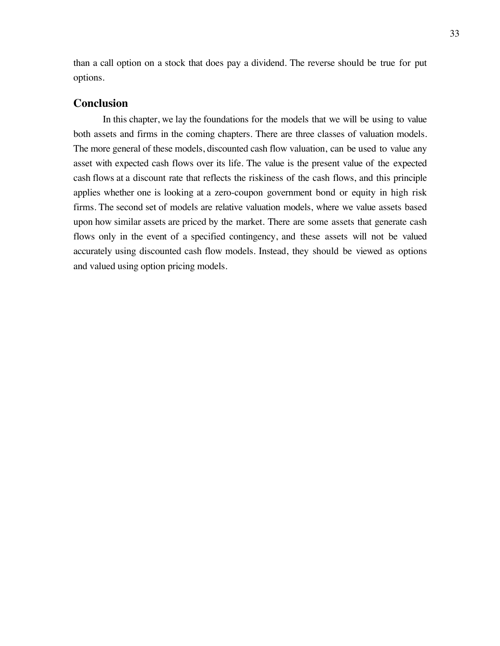than a call option on a stock that does pay a dividend. The reverse should be true for put options.

# **Conclusion**

In this chapter, we lay the foundations for the models that we will be using to value both assets and firms in the coming chapters. There are three classes of valuation models. The more general of these models, discounted cash flow valuation, can be used to value any asset with expected cash flows over its life. The value is the present value of the expected cash flows at a discount rate that reflects the riskiness of the cash flows, and this principle applies whether one is looking at a zero-coupon government bond or equity in high risk firms. The second set of models are relative valuation models, where we value assets based upon how similar assets are priced by the market. There are some assets that generate cash flows only in the event of a specified contingency, and these assets will not be valued accurately using discounted cash flow models. Instead, they should be viewed as options and valued using option pricing models.